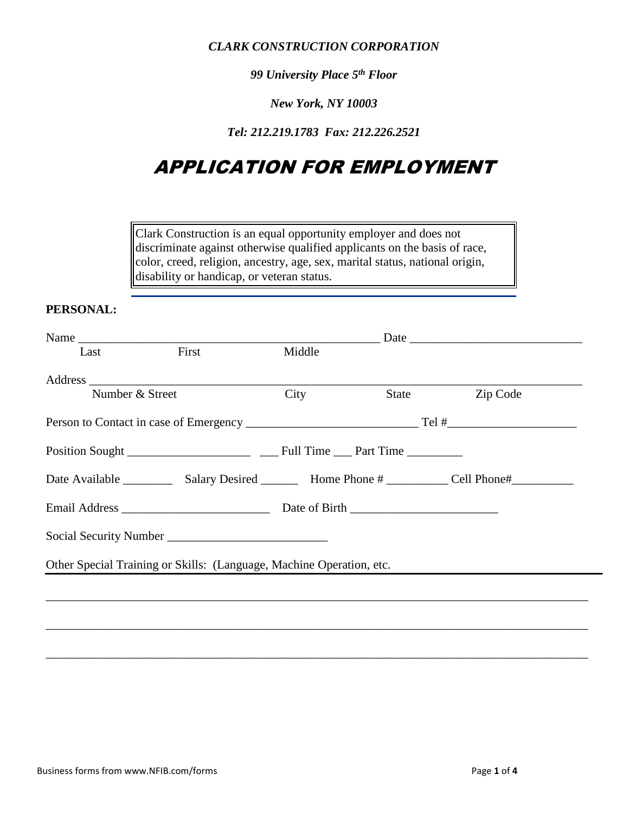*CLARK CONSTRUCTION CORPORATION*

*99 University Place 5th Floor*

*New York, NY 10003*

*Tel: 212.219.1783 Fax: 212.226.2521*

# APPLICATION FOR EMPLOYMENT

Clark Construction is an equal opportunity employer and does not discriminate against otherwise qualified applicants on the basis of race, color, creed, religion, ancestry, age, sex, marital status, national origin, disability or handicap, or veteran status.

#### **PERSONAL:**

|                 | Name  |                                                                      |       | Date     |  |
|-----------------|-------|----------------------------------------------------------------------|-------|----------|--|
| Last            | First | Middle                                                               |       |          |  |
|                 |       |                                                                      |       |          |  |
| Number & Street |       | City                                                                 | State | Zip Code |  |
|                 |       |                                                                      |       |          |  |
|                 |       |                                                                      |       |          |  |
|                 |       |                                                                      |       |          |  |
|                 |       |                                                                      |       |          |  |
|                 |       |                                                                      |       |          |  |
|                 |       | Other Special Training or Skills: (Language, Machine Operation, etc. |       |          |  |
|                 |       |                                                                      |       |          |  |
|                 |       |                                                                      |       |          |  |
|                 |       |                                                                      |       |          |  |
|                 |       |                                                                      |       |          |  |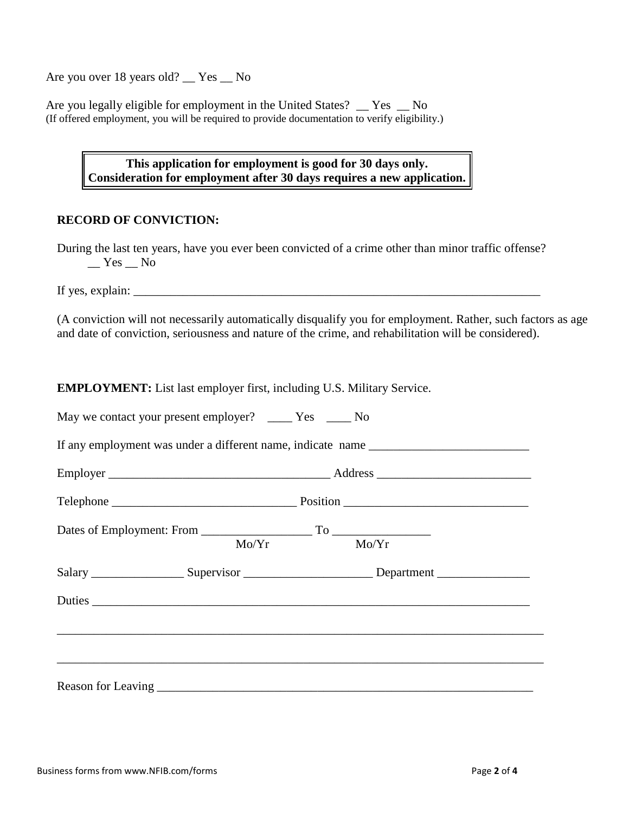Are you over 18 years old? \_\_ Yes \_\_ No

Are you legally eligible for employment in the United States? \_\_ Yes \_\_ No (If offered employment, you will be required to provide documentation to verify eligibility.)

## **This application for employment is good for 30 days only. Consideration for employment after 30 days requires a new application.**

## **RECORD OF CONVICTION:**

During the last ten years, have you ever been convicted of a crime other than minor traffic offense?  $Yes$  No

If yes, explain:  $\Box$ 

(A conviction will not necessarily automatically disqualify you for employment. Rather, such factors as age and date of conviction, seriousness and nature of the crime, and rehabilitation will be considered).

**EMPLOYMENT:** List last employer first, including U.S. Military Service.

| May we contact your present employer? _______ Yes _______ No |                                                                                                      |
|--------------------------------------------------------------|------------------------------------------------------------------------------------------------------|
|                                                              |                                                                                                      |
|                                                              |                                                                                                      |
|                                                              |                                                                                                      |
|                                                              | Mo/Yr Mo/Yr                                                                                          |
|                                                              | Salary ______________________Supervisor _______________________________Department __________________ |
|                                                              |                                                                                                      |
|                                                              |                                                                                                      |
|                                                              |                                                                                                      |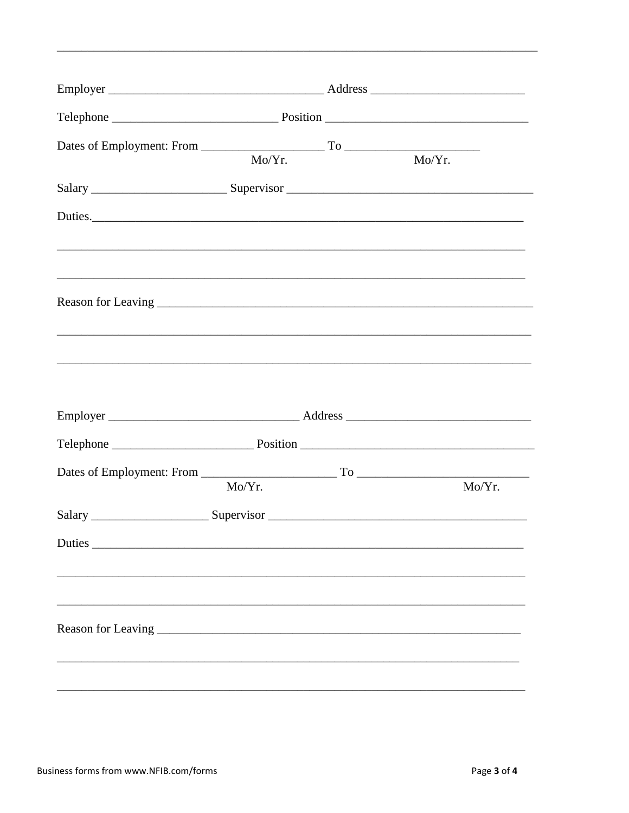|         | Mo/Yr.                                                              | $\overline{\text{Mo/Yr.}}$ |
|---------|---------------------------------------------------------------------|----------------------------|
|         |                                                                     |                            |
| Duties. |                                                                     |                            |
|         |                                                                     |                            |
|         |                                                                     |                            |
|         |                                                                     |                            |
|         |                                                                     |                            |
|         |                                                                     |                            |
|         |                                                                     |                            |
|         | Mo/Yr.                                                              | Mo/Yr.                     |
|         |                                                                     |                            |
| Duties  | <u> 1989 - Johann Barbara, martxa alemaniar amerikan basar da a</u> |                            |
|         |                                                                     |                            |
|         |                                                                     |                            |
|         |                                                                     |                            |
|         |                                                                     |                            |